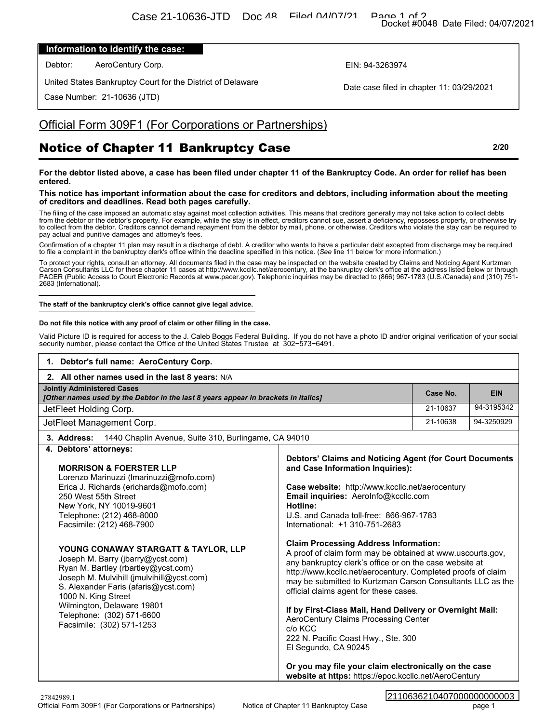### **Information to identify the case:**

## Official Form 309F1 (For Corporations or Partnerships)

# Notice of Chapter 11 Bankruptcy Case **2/20**

#### **This notice has important information about the case for creditors and debtors, including information about the meeting of creditors and deadlines. Read both pages carefully.**

#### **The staff of the bankruptcy clerk's office cannot give legal advice.**

#### **Do not file this notice with any proof of claim or other filing in the case.**

|                                                                                                                                                                                                                                                                                                                                                                                                                                                                                                                                                               |                                                                                                                                                                                                                                                                                                                                                                                                                                                                                                                                                                                                                                  | Docket #0048 Date Filed: 04/07/2021 |                          |
|---------------------------------------------------------------------------------------------------------------------------------------------------------------------------------------------------------------------------------------------------------------------------------------------------------------------------------------------------------------------------------------------------------------------------------------------------------------------------------------------------------------------------------------------------------------|----------------------------------------------------------------------------------------------------------------------------------------------------------------------------------------------------------------------------------------------------------------------------------------------------------------------------------------------------------------------------------------------------------------------------------------------------------------------------------------------------------------------------------------------------------------------------------------------------------------------------------|-------------------------------------|--------------------------|
| Information to identify the case:                                                                                                                                                                                                                                                                                                                                                                                                                                                                                                                             |                                                                                                                                                                                                                                                                                                                                                                                                                                                                                                                                                                                                                                  |                                     |                          |
| Debtor:<br>AeroCentury Corp.                                                                                                                                                                                                                                                                                                                                                                                                                                                                                                                                  | EIN: 94-3263974                                                                                                                                                                                                                                                                                                                                                                                                                                                                                                                                                                                                                  |                                     |                          |
| United States Bankruptcy Court for the District of Delaware                                                                                                                                                                                                                                                                                                                                                                                                                                                                                                   |                                                                                                                                                                                                                                                                                                                                                                                                                                                                                                                                                                                                                                  |                                     |                          |
| Case Number: 21-10636 (JTD)                                                                                                                                                                                                                                                                                                                                                                                                                                                                                                                                   | Date case filed in chapter 11: 03/29/2021                                                                                                                                                                                                                                                                                                                                                                                                                                                                                                                                                                                        |                                     |                          |
| Official Form 309F1 (For Corporations or Partnerships)                                                                                                                                                                                                                                                                                                                                                                                                                                                                                                        |                                                                                                                                                                                                                                                                                                                                                                                                                                                                                                                                                                                                                                  |                                     |                          |
| <b>Notice of Chapter 11 Bankruptcy Case</b>                                                                                                                                                                                                                                                                                                                                                                                                                                                                                                                   |                                                                                                                                                                                                                                                                                                                                                                                                                                                                                                                                                                                                                                  |                                     | 2/20                     |
| For the debtor listed above, a case has been filed under chapter 11 of the Bankruptcy Code. An order for relief has been<br>entered.                                                                                                                                                                                                                                                                                                                                                                                                                          |                                                                                                                                                                                                                                                                                                                                                                                                                                                                                                                                                                                                                                  |                                     |                          |
| This notice has important information about the case for creditors and debtors, including information about the meeting<br>of creditors and deadlines. Read both pages carefully.                                                                                                                                                                                                                                                                                                                                                                             |                                                                                                                                                                                                                                                                                                                                                                                                                                                                                                                                                                                                                                  |                                     |                          |
| The filing of the case imposed an automatic stay against most collection activities. This means that creditors generally may not take action to collect debts<br>from the debtor or the debtor's property. For example, while the stay is in effect, creditors cannot sue, assert a deficiency, repossess property, or otherwise try<br>to collect from the debtor. Creditors cannot demand repayment from the debtor by mail, phone, or otherwise. Creditors who violate the stay can be required to<br>pay actual and punitive damages and attorney's fees. |                                                                                                                                                                                                                                                                                                                                                                                                                                                                                                                                                                                                                                  |                                     |                          |
| Confirmation of a chapter 11 plan may result in a discharge of debt. A creditor who wants to have a particular debt excepted from discharge may be required<br>to file a complaint in the bankruptcy clerk's office within the deadline specified in this notice. (See line 11 below for more information.)                                                                                                                                                                                                                                                   |                                                                                                                                                                                                                                                                                                                                                                                                                                                                                                                                                                                                                                  |                                     |                          |
| To protect your rights, consult an attorney. All documents filed in the case may be inspected on the website created by Claims and Noticing Agent Kurtzman<br>Carson Consultants LLC for these chapter 11 cases at http://www.kccllc.net/aerocentury, at the bankruptcy clerk's office at the address listed below or through<br>PACER (Public Access to Court Electronic Records at www.pacer.gov). Telephonic inquiries may be directed to (866) 967-1783 (U.S./Canada) and (310) 751-<br>2683 (International).                                             |                                                                                                                                                                                                                                                                                                                                                                                                                                                                                                                                                                                                                                  |                                     |                          |
| The staff of the bankruptcy clerk's office cannot give legal advice.                                                                                                                                                                                                                                                                                                                                                                                                                                                                                          |                                                                                                                                                                                                                                                                                                                                                                                                                                                                                                                                                                                                                                  |                                     |                          |
| 1. Debtor's full name: AeroCentury Corp.<br>2. All other names used in the last 8 years: N/A<br><b>Jointly Administered Cases</b>                                                                                                                                                                                                                                                                                                                                                                                                                             |                                                                                                                                                                                                                                                                                                                                                                                                                                                                                                                                                                                                                                  |                                     |                          |
| [Other names used by the Debtor in the last 8 years appear in brackets in italics]                                                                                                                                                                                                                                                                                                                                                                                                                                                                            |                                                                                                                                                                                                                                                                                                                                                                                                                                                                                                                                                                                                                                  | Case No.<br>21-10637                | <b>EIN</b><br>94-3195342 |
| JetFleet Holding Corp.<br>JetFleet Management Corp.                                                                                                                                                                                                                                                                                                                                                                                                                                                                                                           |                                                                                                                                                                                                                                                                                                                                                                                                                                                                                                                                                                                                                                  | 21-10638                            | 94-3250929               |
| 1440 Chaplin Avenue, Suite 310, Burlingame, CA 94010<br>3. Address:                                                                                                                                                                                                                                                                                                                                                                                                                                                                                           |                                                                                                                                                                                                                                                                                                                                                                                                                                                                                                                                                                                                                                  |                                     |                          |
| 4. Debtors' attorneys:                                                                                                                                                                                                                                                                                                                                                                                                                                                                                                                                        |                                                                                                                                                                                                                                                                                                                                                                                                                                                                                                                                                                                                                                  |                                     |                          |
| <b>MORRISON &amp; FOERSTER LLP</b><br>Lorenzo Marinuzzi (Imarinuzzi@mofo.com)<br>Erica J. Richards (erichards@mofo.com)<br>250 West 55th Street<br>New York, NY 10019-9601<br>Telephone: (212) 468-8000<br>Facsimile: (212) 468-7900                                                                                                                                                                                                                                                                                                                          | Debtors' Claims and Noticing Agent (for Court Documents<br>and Case Information Inquiries):<br>Case website: http://www.kccllc.net/aerocentury<br>Email inquiries: AeroInfo@kccllc.com<br>Hotline:<br>U.S. and Canada toll-free: 866-967-1783<br>International: +1 310-751-2683<br><b>Claim Processing Address Information:</b><br>A proof of claim form may be obtained at www.uscourts.gov,<br>any bankruptcy clerk's office or on the case website at<br>http://www.kccllc.net/aerocentury. Completed proofs of claim<br>may be submitted to Kurtzman Carson Consultants LLC as the<br>official claims agent for these cases. |                                     |                          |
| YOUNG CONAWAY STARGATT & TAYLOR, LLP<br>Joseph M. Barry (jbarry@ycst.com)<br>Ryan M. Bartley (rbartley@ycst.com)<br>Joseph M. Mulvihill (jmulvihill@ycst.com)<br>S. Alexander Faris (afaris@ycst.com)<br>1000 N. King Street                                                                                                                                                                                                                                                                                                                                  |                                                                                                                                                                                                                                                                                                                                                                                                                                                                                                                                                                                                                                  |                                     |                          |
| Wilmington, Delaware 19801<br>Telephone: (302) 571-6600<br>Facsimile: (302) 571-1253                                                                                                                                                                                                                                                                                                                                                                                                                                                                          | If by First-Class Mail, Hand Delivery or Overnight Mail:<br>AeroCentury Claims Processing Center<br>c/o KCC<br>222 N. Pacific Coast Hwy., Ste. 300<br>El Segundo, CA 90245                                                                                                                                                                                                                                                                                                                                                                                                                                                       |                                     |                          |
|                                                                                                                                                                                                                                                                                                                                                                                                                                                                                                                                                               | Or you may file your claim electronically on the case<br>website at https: https://epoc.kccllc.net/AeroCentury                                                                                                                                                                                                                                                                                                                                                                                                                                                                                                                   |                                     |                          |
| 27842989.1                                                                                                                                                                                                                                                                                                                                                                                                                                                                                                                                                    |                                                                                                                                                                                                                                                                                                                                                                                                                                                                                                                                                                                                                                  | 2110636210407000000000003           |                          |